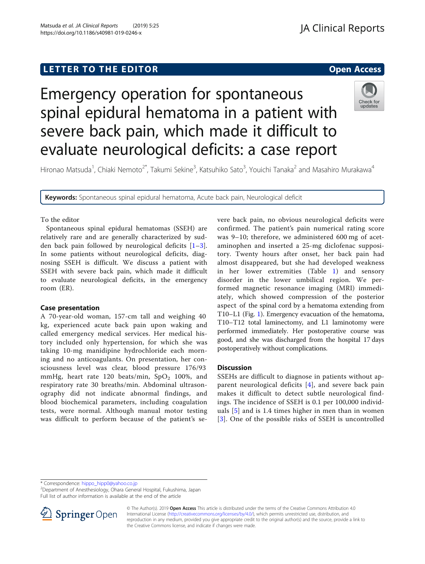## L E T T ER TOR OPEN A T T ER TOR OPEN A T T ER TOR OPEN A T T ER TOR OPEN A T T ER TOR OPEN A T T ER TOR OPEN <br>A t er tor open [Access](http://crossmark.crossref.org/dialog/?doi=10.1186/s40981-019-0246-x&domain=pdf) and the second and the second and the second and the second and the second and the secon

# Emergency operation for spontaneous spinal epidural hematoma in a patient with severe back pain, which made it difficult to



Hironao Matsuda<sup>1</sup>, Chiaki Nemoto<sup>2\*</sup>, Takumi Sekine<sup>3</sup>, Katsuhiko Sato<sup>3</sup>, Youichi Tanaka<sup>2</sup> and Masahiro Murakawa<sup>4</sup>

evaluate neurological deficits: a case report

Keywords: Spontaneous spinal epidural hematoma, Acute back pain, Neurological deficit

#### To the editor

Spontaneous spinal epidural hematomas (SSEH) are relatively rare and are generally characterized by sudden back pain followed by neurological deficits  $[1-3]$  $[1-3]$  $[1-3]$  $[1-3]$ . In some patients without neurological deficits, diagnosing SSEH is difficult. We discuss a patient with SSEH with severe back pain, which made it difficult to evaluate neurological deficits, in the emergency room (ER).

A 70-year-old woman, 157-cm tall and weighing 40 kg, experienced acute back pain upon waking and called emergency medical services. Her medical history included only hypertension, for which she was taking 10-mg manidipine hydrochloride each morning and no anticoagulants. On presentation, her consciousness level was clear, blood pressure 176/93 mmHg, heart rate 120 beats/min,  $SpO<sub>2</sub>$  100%, and respiratory rate 30 breaths/min. Abdominal ultrasonography did not indicate abnormal findings, and blood biochemical parameters, including coagulation tests, were normal. Although manual motor testing was difficult to perform because of the patient's severe back pain, no obvious neurological deficits were confirmed. The patient's pain numerical rating score was 9–10; therefore, we administered 600 mg of acetaminophen and inserted a 25-mg diclofenac suppository. Twenty hours after onset, her back pain had almost disappeared, but she had developed weakness in her lower extremities (Table [1](#page-1-0)) and sensory disorder in the lower umbilical region. We performed magnetic resonance imaging (MRI) immediately, which showed compression of the posterior aspect of the spinal cord by a hematoma extending from T10–L1 (Fig. [1](#page-1-0)). Emergency evacuation of the hematoma, T10–T12 total laminectomy, and L1 laminotomy were performed immediately. Her postoperative course was good, and she was discharged from the hospital 17 days postoperatively without complications.

### **Discussion**

SSEHs are difficult to diagnose in patients without apparent neurological deficits [[4](#page-2-0)], and severe back pain makes it difficult to detect subtle neurological findings. The incidence of SSEH is 0.1 per 100,000 individuals [[5](#page-2-0)] and is 1.4 times higher in men than in women [[3](#page-2-0)]. One of the possible risks of SSEH is uncontrolled

\* Correspondence: [hippo\\_hipp0@yahoo.co.jp](mailto:hippo_hipp0@yahoo.co.jp) <sup>2</sup>

<sup>2</sup>Department of Anesthesiology, Ohara General Hospital, Fukushima, Japan Full list of author information is available at the end of the article



<sup>©</sup> The Author(s). 2019 Open Access This article is distributed under the terms of the Creative Commons Attribution 4.0 International License ([http://creativecommons.org/licenses/by/4.0/\)](http://creativecommons.org/licenses/by/4.0/), which permits unrestricted use, distribution, and reproduction in any medium, provided you give appropriate credit to the original author(s) and the source, provide a link to the Creative Commons license, and indicate if changes were made.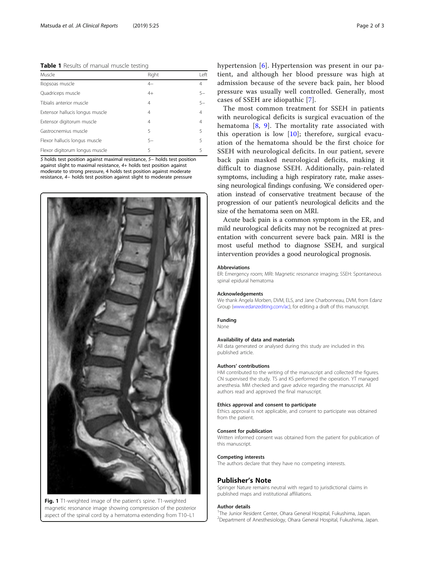#### <span id="page-1-0"></span>Table 1 Results of manual muscle testing

| Muscle                          | Right          | Left  |
|---------------------------------|----------------|-------|
| lliopsoas muscle                | $4-$           | 4     |
| Quadriceps muscle               | $4+$           | $5 -$ |
| Tibialis anterior muscle        | $\overline{4}$ | $5 -$ |
| Extensor hallucis longus muscle | $\overline{4}$ | 4     |
| Extensor digitorum muscle       | $\overline{4}$ | 4     |
| Gastrocnemius muscle            | 5              | 5     |
| Flexor hallucis longus muscle   | $5 -$          | 5     |
| Flexor digitorum longus muscle  | 5              | 5     |

5 holds test position against maximal resistance, 5− holds test position against slight to maximal resistance, 4+ holds test position against moderate to strong pressure, 4 holds test position against moderate resistance, 4− holds test position against slight to moderate pressure



Fig. 1 T1-weighted image of the patient's spine. T1-weighted magnetic resonance image showing compression of the posterior aspect of the spinal cord by a hematoma extending from T10–L1

hypertension [[6\]](#page-2-0). Hypertension was present in our patient, and although her blood pressure was high at admission because of the severe back pain, her blood pressure was usually well controlled. Generally, most cases of SSEH are idiopathic [\[7](#page-2-0)].

The most common treatment for SSEH in patients with neurological deficits is surgical evacuation of the hematoma [[8,](#page-2-0) [9\]](#page-2-0). The mortality rate associated with this operation is low [[10](#page-2-0)]; therefore, surgical evacuation of the hematoma should be the first choice for SSEH with neurological deficits. In our patient, severe back pain masked neurological deficits, making it difficult to diagnose SSEH. Additionally, pain-related symptoms, including a high respiratory rate, make assessing neurological findings confusing. We considered operation instead of conservative treatment because of the progression of our patient's neurological deficits and the size of the hematoma seen on MRI.

Acute back pain is a common symptom in the ER, and mild neurological deficits may not be recognized at presentation with concurrent severe back pain. MRI is the most useful method to diagnose SSEH, and surgical intervention provides a good neurological prognosis.

#### Abbreviations

ER: Emergency room; MRI: Magnetic resonance imaging; SSEH: Spontaneous spinal epidural hematoma

#### Acknowledgements

We thank Angela Morben, DVM, ELS, and Jane Charbonneau, DVM, from Edanz Group [\(www.edanzediting.com/ac](http://www.edanzediting.com/ac)), for editing a draft of this manuscript.

Funding

None

#### Availability of data and materials

All data generated or analysed during this study are included in this published article.

#### Authors' contributions

HM contributed to the writing of the manuscript and collected the figures. CN supervised the study. TS and KS performed the operation. YT managed anesthesia. MM checked and gave advice regarding the manuscript. All authors read and approved the final manuscript.

#### Ethics approval and consent to participate

Ethics approval is not applicable, and consent to participate was obtained from the patient.

#### Consent for publication

Written informed consent was obtained from the patient for publication of this manuscript.

#### Competing interests

The authors declare that they have no competing interests.

#### Publisher's Note

Springer Nature remains neutral with regard to jurisdictional claims in published maps and institutional affiliations.

#### Author details

<sup>1</sup>The Junior Resident Center, Ohara General Hospital, Fukushima, Japan. <sup>2</sup> Department of Anesthesiology, Ohara General Hospital, Fukushima, Japan